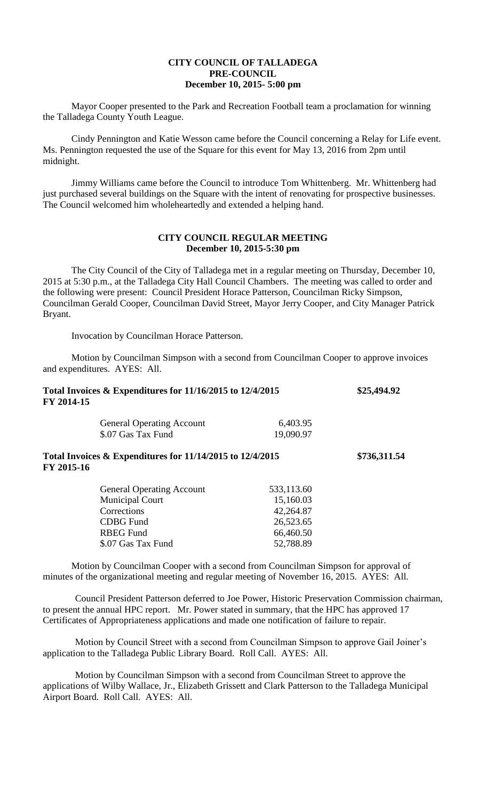## **CITY COUNCIL OF TALLADEGA PRE-COUNCIL December 10, 2015- 5:00 pm**

Mayor Cooper presented to the Park and Recreation Football team a proclamation for winning the Talladega County Youth League.

Cindy Pennington and Katie Wesson came before the Council concerning a Relay for Life event. Ms. Pennington requested the use of the Square for this event for May 13, 2016 from 2pm until midnight.

Jimmy Williams came before the Council to introduce Tom Whittenberg. Mr. Whittenberg had just purchased several buildings on the Square with the intent of renovating for prospective businesses. The Council welcomed him wholeheartedly and extended a helping hand.

## **CITY COUNCIL REGULAR MEETING December 10, 2015-5:30 pm**

The City Council of the City of Talladega met in a regular meeting on Thursday, December 10, 2015 at 5:30 p.m., at the Talladega City Hall Council Chambers. The meeting was called to order and the following were present: Council President Horace Patterson, Councilman Ricky Simpson, Councilman Gerald Cooper, Councilman David Street, Mayor Jerry Cooper, and City Manager Patrick Bryant.

Invocation by Councilman Horace Patterson.

Motion by Councilman Simpson with a second from Councilman Cooper to approve invoices and expenditures. AYES: All.

| Total Invoices $&$ Expenditures for 11/16/2015 to 12/4/2015<br>FY 2014-15 |                                                             |            | \$25,494.92  |
|---------------------------------------------------------------------------|-------------------------------------------------------------|------------|--------------|
|                                                                           | <b>General Operating Account</b>                            | 6,403.95   |              |
|                                                                           | \$.07 Gas Tax Fund                                          | 19,090.97  |              |
| FY 2015-16                                                                | Total Invoices $&$ Expenditures for 11/14/2015 to 12/4/2015 |            | \$736,311.54 |
|                                                                           | <b>General Operating Account</b>                            | 533,113.60 |              |
|                                                                           | <b>Municipal Court</b>                                      | 15,160.03  |              |
|                                                                           | Corrections                                                 | 42,264.87  |              |
|                                                                           | <b>CDBG</b> Fund                                            | 26,523.65  |              |
|                                                                           | <b>RBEG</b> Fund                                            | 66,460.50  |              |
|                                                                           | \$.07 Gas Tax Fund                                          | 52,788.89  |              |

Motion by Councilman Cooper with a second from Councilman Simpson for approval of minutes of the organizational meeting and regular meeting of November 16, 2015. AYES: All.

Council President Patterson deferred to Joe Power, Historic Preservation Commission chairman, to present the annual HPC report. Mr. Power stated in summary, that the HPC has approved 17 Certificates of Appropriateness applications and made one notification of failure to repair.

Motion by Council Street with a second from Councilman Simpson to approve Gail Joiner's application to the Talladega Public Library Board. Roll Call. AYES: All.

Motion by Councilman Simpson with a second from Councilman Street to approve the applications of Wilby Wallace, Jr., Elizabeth Grissett and Clark Patterson to the Talladega Municipal Airport Board. Roll Call. AYES: All.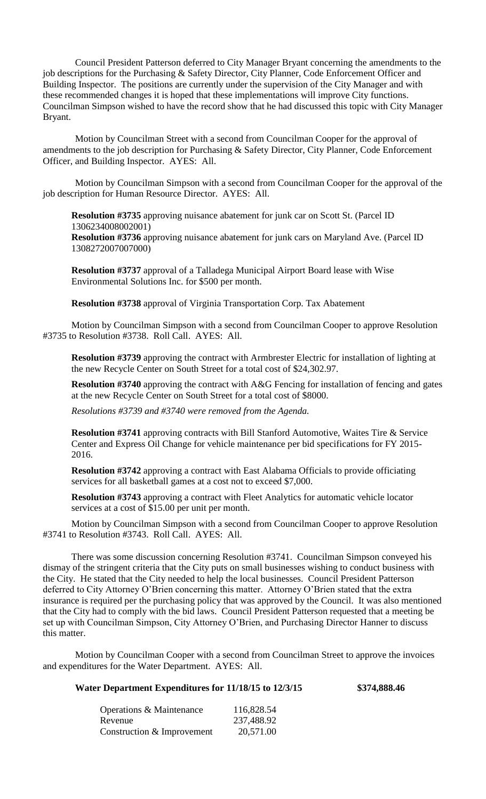Council President Patterson deferred to City Manager Bryant concerning the amendments to the job descriptions for the Purchasing & Safety Director, City Planner, Code Enforcement Officer and Building Inspector. The positions are currently under the supervision of the City Manager and with these recommended changes it is hoped that these implementations will improve City functions. Councilman Simpson wished to have the record show that he had discussed this topic with City Manager Bryant.

Motion by Councilman Street with a second from Councilman Cooper for the approval of amendments to the job description for Purchasing & Safety Director, City Planner, Code Enforcement Officer, and Building Inspector. AYES: All.

Motion by Councilman Simpson with a second from Councilman Cooper for the approval of the job description for Human Resource Director. AYES: All.

**Resolution #3735** approving nuisance abatement for junk car on Scott St. (Parcel ID 1306234008002001) **Resolution #3736** approving nuisance abatement for junk cars on Maryland Ave. (Parcel ID 1308272007007000)

**Resolution #3737** approval of a Talladega Municipal Airport Board lease with Wise Environmental Solutions Inc. for \$500 per month.

**Resolution #3738** approval of Virginia Transportation Corp. Tax Abatement

Motion by Councilman Simpson with a second from Councilman Cooper to approve Resolution #3735 to Resolution #3738. Roll Call. AYES: All.

**Resolution #3739** approving the contract with Armbrester Electric for installation of lighting at the new Recycle Center on South Street for a total cost of \$24,302.97.

**Resolution #3740** approving the contract with A&G Fencing for installation of fencing and gates at the new Recycle Center on South Street for a total cost of \$8000.

*Resolutions #3739 and #3740 were removed from the Agenda.*

**Resolution #3741** approving contracts with Bill Stanford Automotive, Waites Tire & Service Center and Express Oil Change for vehicle maintenance per bid specifications for FY 2015- 2016.

**Resolution #3742** approving a contract with East Alabama Officials to provide officiating services for all basketball games at a cost not to exceed \$7,000.

**Resolution #3743** approving a contract with Fleet Analytics for automatic vehicle locator services at a cost of \$15.00 per unit per month.

Motion by Councilman Simpson with a second from Councilman Cooper to approve Resolution #3741 to Resolution #3743. Roll Call. AYES: All.

There was some discussion concerning Resolution #3741. Councilman Simpson conveyed his dismay of the stringent criteria that the City puts on small businesses wishing to conduct business with the City. He stated that the City needed to help the local businesses. Council President Patterson deferred to City Attorney O'Brien concerning this matter. Attorney O'Brien stated that the extra insurance is required per the purchasing policy that was approved by the Council. It was also mentioned that the City had to comply with the bid laws. Council President Patterson requested that a meeting be set up with Councilman Simpson, City Attorney O'Brien, and Purchasing Director Hanner to discuss this matter.

Motion by Councilman Cooper with a second from Councilman Street to approve the invoices and expenditures for the Water Department. AYES: All.

## **Water Department Expenditures for 11/18/15 to 12/3/15 \$374,888.46**

| Operations & Maintenance   | 116,828.54 |
|----------------------------|------------|
| Revenue                    | 237,488.92 |
| Construction & Improvement | 20,571.00  |